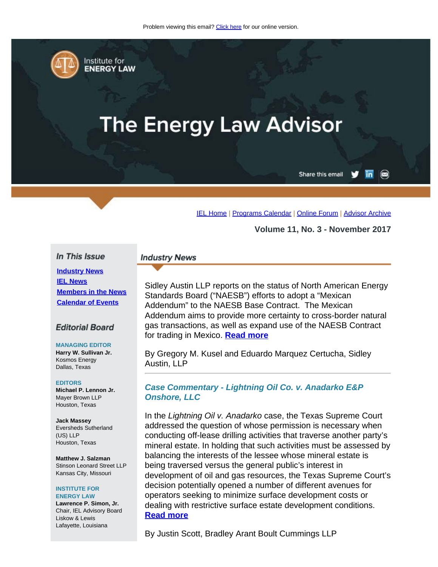<span id="page-0-0"></span>

Institute for **ENERGY LAW** 

# **The Energy Law Advisor**

Share this email in

[IEL Home](http://www.cailaw.org/institute-for-energy-law/index.html?utm_source=Informz&utm_medium=Email&utm_campaign=Event+Details) | [Programs Calendar](http://www.cailaw.org/institute-for-energy-law/programs-calendar.html?utm_source=Informz&utm_medium=Email&utm_campaign=Event+Details) | [Online Forum](https://www.linkedin.com/groups?gid=2330688&trk=myg_ugrp_ovr) | [Advisor Archive](http://www.cailaw.org/institute-for-energy-law/publications/energy-law-advisor.html?utm_source=Informz&utm_medium=Email&utm_campaign=Event+Details)

**Volume 11, No. 3 - November 2017**

#### In This Issue

**[Industry News](#page-0-0) [IEL News](#page-0-0) [Members in the News](#page-0-0) [Calendar of Events](#page-0-0)**

#### **Editorial Board**

#### **MANAGING EDITOR**

**Harry W. Sullivan Jr.** Kosmos Energy Dallas, Texas

#### **EDITORS**

**Michael P. Lennon Jr.** Mayer Brown LLP Houston, Texas

**Jack Massey** Eversheds Sutherland (US) LLP Houston, Texas

**Matthew J. Salzman** Stinson Leonard Street LLP Kansas City, Missouri

#### **INSTITUTE FOR ENERGY LAW**

**Lawrence P. Simon, Jr.** Chair, IEL Advisory Board Liskow & Lewis Lafayette, Louisiana

## **Industry News**

Sidley Austin LLP reports on the status of North American Energy Standards Board ("NAESB") efforts to adopt a "Mexican Addendum" to the NAESB Base Contract. The Mexican Addendum aims to provide more certainty to cross-border natural gas transactions, as well as expand use of the NAESB Contract for trading in Mexico. **[Read more](http://www.cailaw.org/media/files/IEL/Publications/2017/naesb-vol11no3.pdf)**

By Gregory M. Kusel and Eduardo Marquez Certucha, Sidley Austin, LLP

### *Case Commentary - Lightning Oil Co. v. Anadarko E&P Onshore, LLC*

In the *Lightning Oil v. Anadarko* case, the Texas Supreme Court addressed the question of whose permission is necessary when conducting off-lease drilling activities that traverse another party's mineral estate. In holding that such activities must be assessed by balancing the interests of the lessee whose mineral estate is being traversed versus the general public's interest in development of oil and gas resources, the Texas Supreme Court's decision potentially opened a number of different avenues for operators seeking to minimize surface development costs or dealing with restrictive surface estate development conditions. **[Read more](http://www.cailaw.org/media/files/IEL/Publications/2017/lightning-oil-vol11no3.pdf)**

By Justin Scott, Bradley Arant Boult Cummings LLP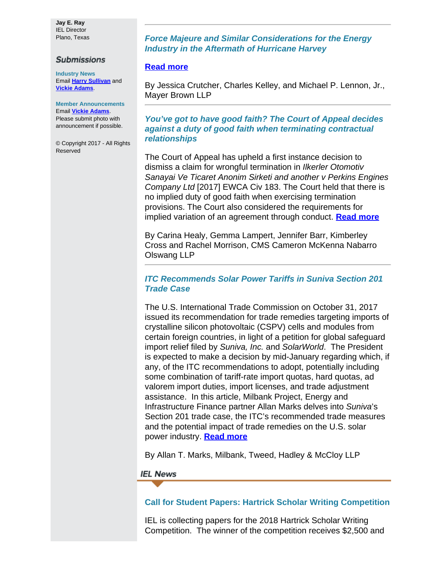**Jay E. Ray** IEL Director Plano, Texas

#### **Submissions**

**Industry News** Email **[Harry Sullivan](mailto:sullivanhw@aol.com)** and **[Vickie Adams](mailto:vadams@cailaw.org)**.

**Member Announcements** Email **[Vickie Adams](mailto:vadams@cailaw.org)**. Please submit photo with announcement if possible.

© Copyright 2017 - All Rights Reserved

## *Force Majeure and Similar Considerations for the Energy Industry in the Aftermath of Hurricane Harvey*

## **[Read more](http://www.cailaw.org/media/files/IEL/Publications/2017/force-majeure-vol11no3.pdf)**

By Jessica Crutcher, Charles Kelley, and Michael P. Lennon, Jr., Mayer Brown LLP

*You've got to have good faith? The Court of Appeal decides against a duty of good faith when terminating contractual relationships*

The Court of Appeal has upheld a first instance decision to dismiss a claim for wrongful termination in *Ilkerler Otomotiv Sanayai Ve Ticaret Anonim Sirketi and another v Perkins Engines Company Ltd* [2017] EWCA Civ 183. The Court held that there is no implied duty of good faith when exercising termination provisions. The Court also considered the requirements for implied variation of an agreement through conduct. **[Read more](http://www.cailaw.org/media/files/IEL/Publications/2017/ilkerler-perkins-vol11no3.pdf)**

By Carina Healy, Gemma Lampert, Jennifer Barr, Kimberley Cross and Rachel Morrison, CMS Cameron McKenna Nabarro Olswang LLP

## *ITC Recommends Solar Power Tariffs in Suniva Section 201 Trade Case*

The U.S. International Trade Commission on October 31, 2017 issued its recommendation for trade remedies targeting imports of crystalline silicon photovoltaic (CSPV) cells and modules from certain foreign countries, in light of a petition for global safeguard import relief filed by *Suniva, Inc.* and *SolarWorld*. The President is expected to make a decision by mid-January regarding which, if any, of the ITC recommendations to adopt, potentially including some combination of tariff-rate import quotas, hard quotas, ad valorem import duties, import licenses, and trade adjustment assistance. In this article, Milbank Project, Energy and Infrastructure Finance partner Allan Marks delves into *Suniva*'s Section 201 trade case, the ITC's recommended trade measures and the potential impact of trade remedies on the U.S. solar power industry. **[Read more](http://www.cailaw.org/media/files/IEL/Publications/2017/itc-solar-vol11no3.pdf)**

By Allan T. Marks, Milbank, Tweed, Hadley & McCloy LLP

#### **IEL News**

## **Call for Student Papers: Hartrick Scholar Writing Competition**

IEL is collecting papers for the 2018 Hartrick Scholar Writing Competition. The winner of the competition receives \$2,500 and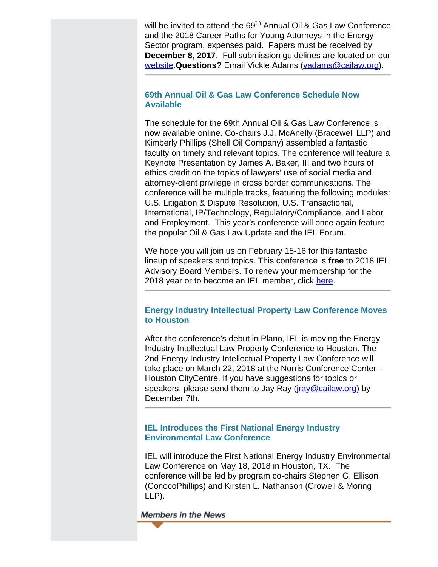will be invited to attend the 69<sup>th</sup> Annual Oil & Gas Law Conference and the 2018 Career Paths for Young Attorneys in the Energy Sector program, expenses paid. Papers must be received by **December 8, 2017**. Full submission guidelines are located on our [website.](http://www.cailaw.org/institute-for-energy-law/law-schools-and-students.html?utm_source=Informz&utm_medium=Email&utm_campaign=Event+Details)**Questions?** Email Vickie Adams ([vadams@cailaw.org](mailto:vadams@cailaw.org)).

## **69th Annual Oil & Gas Law Conference Schedule Now Available**

The schedule for the 69th Annual Oil & Gas Law Conference is now available online. Co-chairs J.J. McAnelly (Bracewell LLP) and Kimberly Phillips (Shell Oil Company) assembled a fantastic faculty on timely and relevant topics. The conference will feature a Keynote Presentation by James A. Baker, III and two hours of ethics credit on the topics of lawyers' use of social media and attorney-client privilege in cross border communications. The conference will be multiple tracks, featuring the following modules: U.S. Litigation & Dispute Resolution, U.S. Transactional, International, IP/Technology, Regulatory/Compliance, and Labor and Employment. This year's conference will once again feature the popular Oil & Gas Law Update and the IEL Forum.

We hope you will join us on February 15-16 for this fantastic lineup of speakers and topics. This conference is **free** to 2018 IEL Advisory Board Members. To renew your membership for the 2018 year or to become an IEL member, click [here](http://www.cailaw.org/memberRegistration.html?t=iel&utm_source=Informz&utm_medium=Email&utm_campaign=Event+Details).

## **Energy Industry Intellectual Property Law Conference Moves to Houston**

After the conference's debut in Plano, IEL is moving the Energy Industry Intellectual Law Property Conference to Houston. The 2nd Energy Industry Intellectual Property Law Conference will take place on March 22, 2018 at the Norris Conference Center – Houston CityCentre. If you have suggestions for topics or speakers, please send them to Jay Ray (*jray@cailaw.org*) by December 7th.

## **IEL Introduces the First National Energy Industry Environmental Law Conference**

IEL will introduce the First National Energy Industry Environmental Law Conference on May 18, 2018 in Houston, TX. The conference will be led by program co-chairs Stephen G. Ellison (ConocoPhillips) and Kirsten L. Nathanson (Crowell & Moring LLP).

#### **Members in the News**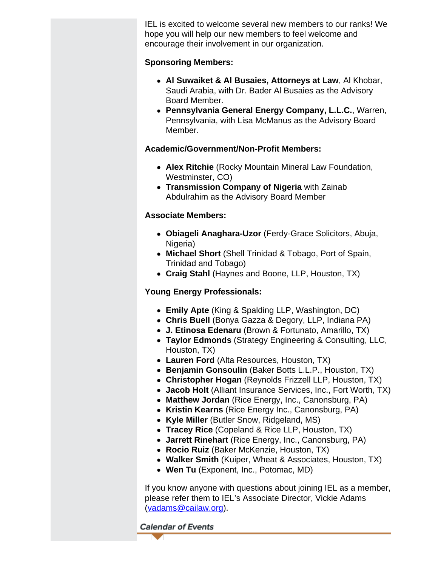IEL is excited to welcome several new members to our ranks! We hope you will help our new members to feel welcome and encourage their involvement in our organization.

## **Sponsoring Members:**

- **Al Suwaiket & Al Busaies, Attorneys at Law**, Al Khobar, Saudi Arabia, with Dr. Bader Al Busaies as the Advisory Board Member.
- **Pennsylvania General Energy Company, L.L.C.**, Warren, Pennsylvania, with Lisa McManus as the Advisory Board Member.

# **Academic/Government/Non-Profit Members:**

- **Alex Ritchie** (Rocky Mountain Mineral Law Foundation, Westminster, CO)
- **Transmission Company of Nigeria** with Zainab Abdulrahim as the Advisory Board Member

# **Associate Members:**

- **Obiageli Anaghara-Uzor** (Ferdy-Grace Solicitors, Abuja, Nigeria)
- **Michael Short** (Shell Trinidad & Tobago, Port of Spain, Trinidad and Tobago)
- **Craig Stahl** (Haynes and Boone, LLP, Houston, TX)

# **Young Energy Professionals:**

- **Emily Apte** (King & Spalding LLP, Washington, DC)
- **Chris Buell** (Bonya Gazza & Degory, LLP, Indiana PA)
- **J. Etinosa Edenaru** (Brown & Fortunato, Amarillo, TX)
- **Taylor Edmonds** (Strategy Engineering & Consulting, LLC, Houston, TX)
- **Lauren Ford** (Alta Resources, Houston, TX)
- **Benjamin Gonsoulin** (Baker Botts L.L.P., Houston, TX)
- **Christopher Hogan** (Reynolds Frizzell LLP, Houston, TX)
- **Jacob Holt** (Alliant Insurance Services, Inc., Fort Worth, TX)
- **Matthew Jordan** (Rice Energy, Inc., Canonsburg, PA)
- **Kristin Kearns** (Rice Energy Inc., Canonsburg, PA)
- **Kyle Miller** (Butler Snow, Ridgeland, MS)
- **Tracey Rice** (Copeland & Rice LLP, Houston, TX)
- **Jarrett Rinehart** (Rice Energy, Inc., Canonsburg, PA)
- **Rocio Ruiz** (Baker McKenzie, Houston, TX)
- **Walker Smith** (Kuiper, Wheat & Associates, Houston, TX)
- **Wen Tu** (Exponent, Inc., Potomac, MD)

If you know anyone with questions about joining IEL as a member, please refer them to IEL's Associate Director, Vickie Adams [\(vadams@cailaw.org](mailto:vadams@cailaw.org)).

**Calendar of Events**